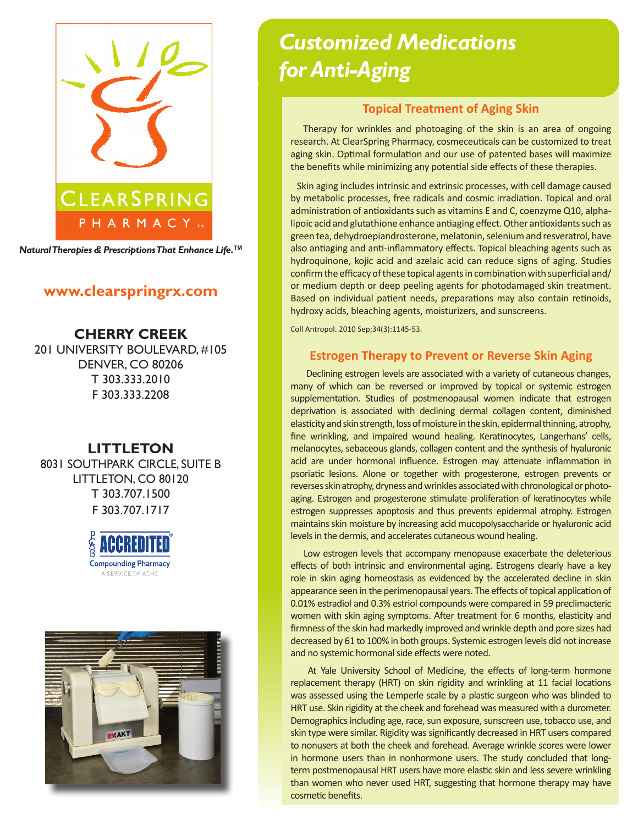

*Natural Therapies & Prescriptions That Enhance Life.***TM**

# **www.clearspringrx.com**

**CHERRY CREEK** 201 UNIVERSITY BOULEVARD, #105 DENVER, CO 80206 T 303.333.2010 F 303.333.2208

# **LITTLETON**

8031 SOUTHPARK CIRCLE, SUITE B LITTLETON, CO 80120 T 303.707.1500 F 303.707.1717





# *Customized Medications for Anti-Aging*

### **Topical Treatment of Aging Skin**

 Therapy for wrinkles and photoaging of the skin is an area of ongoing research. At ClearSpring Pharmacy, cosmeceuticals can be customized to treat aging skin. Optimal formulation and our use of patented bases will maximize the benefits while minimizing any potential side effects of these therapies.

 Skin aging includes intrinsic and extrinsic processes, with cell damage caused by metabolic processes, free radicals and cosmic irradiation. Topical and oral administration of antioxidants such as vitamins E and C, coenzyme Q10, alphalipoic acid and glutathione enhance antiaging effect. Other antioxidants such as green tea, dehydroepiandrosterone, melatonin, selenium and resveratrol, have also antiaging and anti-inflammatory effects. Topical bleaching agents such as hydroquinone, kojic acid and azelaic acid can reduce signs of aging. Studies confirm the efficacy of these topical agents in combination with superficial and/ or medium depth or deep peeling agents for photodamaged skin treatment. Based on individual patient needs, preparations may also contain retinoids, hydroxy acids, bleaching agents, moisturizers, and sunscreens.

Coll Antropol. 2010 Sep;34(3):1145-53.

#### **Estrogen Therapy to Prevent or Reverse Skin Aging**

 Declining estrogen levels are associated with a variety of cutaneous changes, many of which can be reversed or improved by topical or systemic estrogen supplementation. Studies of postmenopausal women indicate that estrogen deprivation is associated with declining dermal collagen content, diminished elasticity and skin strength, loss of moisture in the skin, epidermal thinning, atrophy, fine wrinkling, and impaired wound healing. Keratinocytes, Langerhans' cells, melanocytes, sebaceous glands, collagen content and the synthesis of hyaluronic acid are under hormonal influence. Estrogen may attenuate inflammation in psoriatic lesions. Alone or together with progesterone, estrogen prevents or reverses skin atrophy, dryness and wrinkles associated with chronological or photoaging. Estrogen and progesterone stimulate proliferation of keratinocytes while estrogen suppresses apoptosis and thus prevents epidermal atrophy. Estrogen maintains skin moisture by increasing acid mucopolysaccharide or hyaluronic acid levels in the dermis, and accelerates cutaneous wound healing.

 Low estrogen levels that accompany menopause exacerbate the deleterious effects of both intrinsic and environmental aging. Estrogens clearly have a key role in skin aging homeostasis as evidenced by the accelerated decline in skin appearance seen in the perimenopausal years. The effects of topical application of 0.01% estradiol and 0.3% estriol compounds were compared in 59 preclimacteric women with skin aging symptoms. After treatment for 6 months, elasticity and firmness of the skin had markedly improved and wrinkle depth and pore sizes had decreased by 61 to 100% in both groups. Systemic estrogen levels did not increase and no systemic hormonal side effects were noted.

 At Yale University School of Medicine, the effects of long-term hormone replacement therapy (HRT) on skin rigidity and wrinkling at 11 facial locations was assessed using the Lemperle scale by a plastic surgeon who was blinded to HRT use. Skin rigidity at the cheek and forehead was measured with a durometer. Demographics including age, race, sun exposure, sunscreen use, tobacco use, and skin type were similar. Rigidity was significantly decreased in HRT users compared to nonusers at both the cheek and forehead. Average wrinkle scores were lower in hormone users than in nonhormone users. The study concluded that longterm postmenopausal HRT users have more elastic skin and less severe wrinkling than women who never used HRT, suggesting that hormone therapy may have cosmetic benefits.